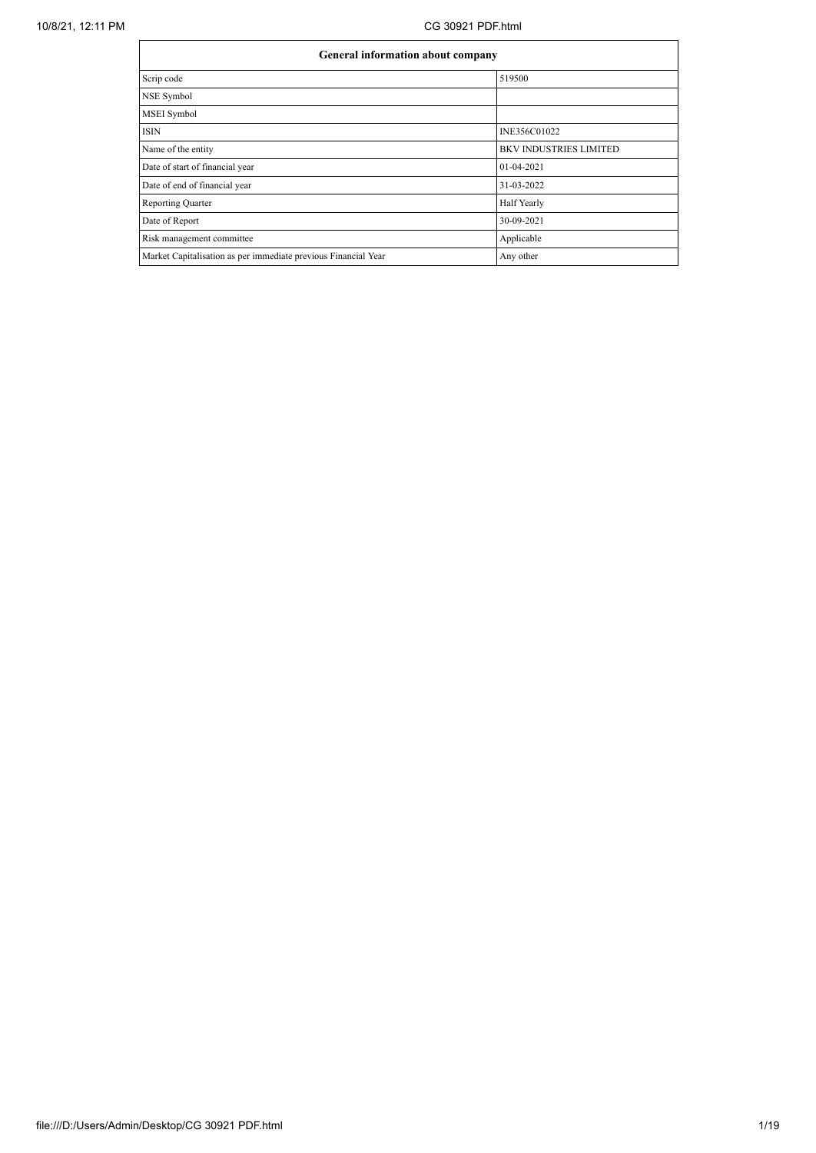| General information about company                              |                               |  |  |  |  |
|----------------------------------------------------------------|-------------------------------|--|--|--|--|
| Scrip code                                                     | 519500                        |  |  |  |  |
| NSE Symbol                                                     |                               |  |  |  |  |
| MSEI Symbol                                                    |                               |  |  |  |  |
| ISIN                                                           | INE356C01022                  |  |  |  |  |
| Name of the entity                                             | <b>BKV INDUSTRIES LIMITED</b> |  |  |  |  |
| Date of start of financial year                                | $01-04-2021$                  |  |  |  |  |
| Date of end of financial year                                  | 31-03-2022                    |  |  |  |  |
| <b>Reporting Quarter</b>                                       | Half Yearly                   |  |  |  |  |
| Date of Report                                                 | 30-09-2021                    |  |  |  |  |
| Risk management committee                                      | Applicable                    |  |  |  |  |
| Market Capitalisation as per immediate previous Financial Year | Any other                     |  |  |  |  |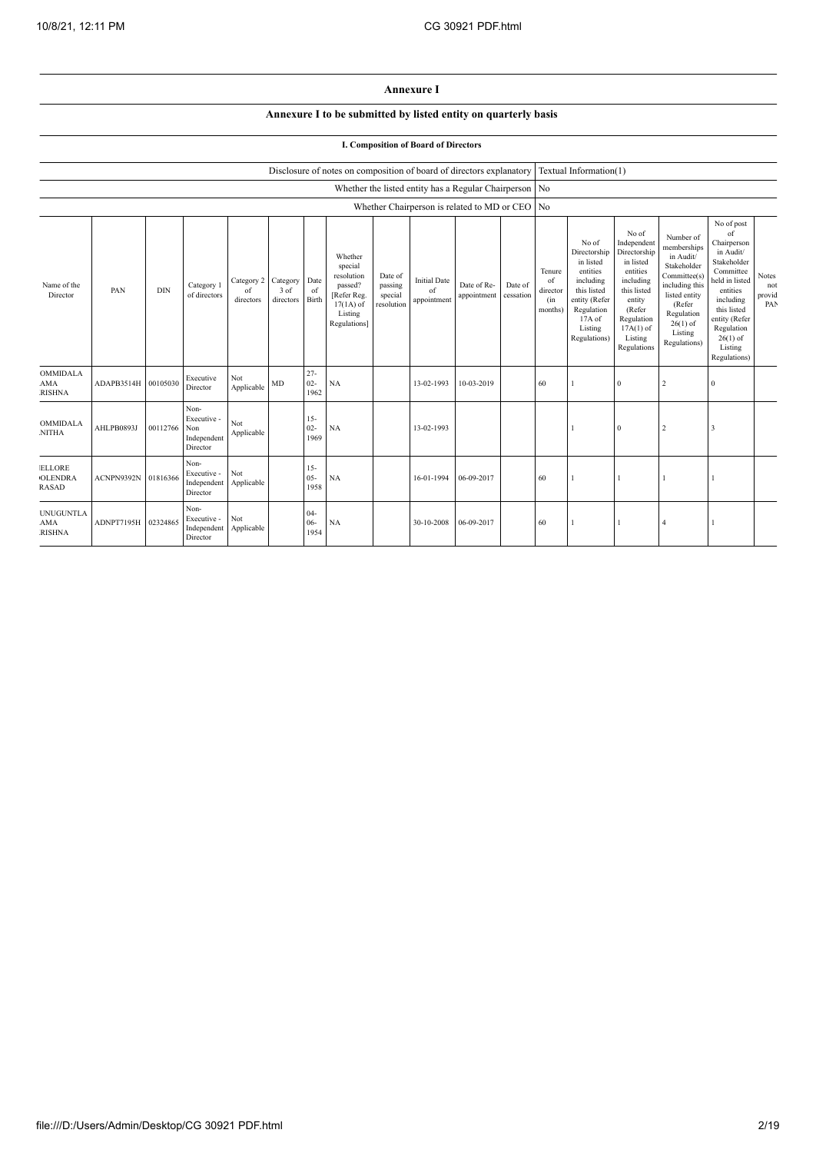## **Annexure I**

## **Annexure I to be submitted by listed entity on quarterly basis**

## **I. Composition of Board of Directors**

|                                                 |            |            |                                                       |                                        |                   |                          | Disclosure of notes on composition of board of directors explanatory                                 |                                             |                                          |                                                        |                      |                                            | Textual Information(1)                                                                                                                         |                                                                                                                                                                      |                                                                                                                                                                          |                                                                                                                                                                                                            |                               |
|-------------------------------------------------|------------|------------|-------------------------------------------------------|----------------------------------------|-------------------|--------------------------|------------------------------------------------------------------------------------------------------|---------------------------------------------|------------------------------------------|--------------------------------------------------------|----------------------|--------------------------------------------|------------------------------------------------------------------------------------------------------------------------------------------------|----------------------------------------------------------------------------------------------------------------------------------------------------------------------|--------------------------------------------------------------------------------------------------------------------------------------------------------------------------|------------------------------------------------------------------------------------------------------------------------------------------------------------------------------------------------------------|-------------------------------|
|                                                 |            |            |                                                       |                                        |                   |                          |                                                                                                      |                                             |                                          | Whether the listed entity has a Regular Chairperson No |                      |                                            |                                                                                                                                                |                                                                                                                                                                      |                                                                                                                                                                          |                                                                                                                                                                                                            |                               |
|                                                 |            |            |                                                       |                                        |                   |                          |                                                                                                      |                                             |                                          | Whether Chairperson is related to MD or CEO No         |                      |                                            |                                                                                                                                                |                                                                                                                                                                      |                                                                                                                                                                          |                                                                                                                                                                                                            |                               |
| Name of the<br>Director                         | PAN        | <b>DIN</b> | Category 1<br>of directors                            | Category 2 Category<br>of<br>directors | 3 of<br>directors | Date<br>of<br>Birth      | Whether<br>special<br>resolution<br>passed?<br>[Refer Reg.<br>$17(1A)$ of<br>Listing<br>Regulations] | Date of<br>passing<br>special<br>resolution | <b>Initial Date</b><br>of<br>appointment | Date of Re-<br>appointment                             | Date of<br>cessation | Tenure<br>of<br>director<br>(in<br>months) | No of<br>Directorship<br>in listed<br>entities<br>including<br>this listed<br>entity (Refer<br>Regulation<br>17A of<br>Listing<br>Regulations) | No of<br>Independent<br>Directorship<br>in listed<br>entities<br>including<br>this listed<br>entity<br>(Refer<br>Regulation<br>$17A(1)$ of<br>Listing<br>Regulations | Number of<br>memberships<br>in Audit/<br>Stakeholder<br>Committee(s)<br>including this<br>listed entity<br>(Refer<br>Regulation<br>$26(1)$ of<br>Listing<br>Regulations) | No of post<br>of<br>Chairperson<br>in Audit/<br>Stakeholder<br>Committee<br>held in listed<br>entities<br>including<br>this listed<br>entity (Refer<br>Regulation<br>$26(1)$ of<br>Listing<br>Regulations) | Notes<br>not<br>provid<br>PAN |
| OMMIDALA<br><b>AMA</b><br><b>RISHNA</b>         | ADAPB3514H | 00105030   | Executive<br>Director                                 | Not<br>Applicable                      | MD                | $27 -$<br>$02 -$<br>1962 | NA                                                                                                   |                                             | 13-02-1993                               | 10-03-2019                                             |                      | 60                                         |                                                                                                                                                | $\mathbf{0}$                                                                                                                                                         | $\overline{2}$                                                                                                                                                           | $\mathbf{0}$                                                                                                                                                                                               |                               |
| <b>OMMIDALA</b><br><b>NITHA</b>                 | AHLPB0893J | 00112766   | Non-<br>Executive -<br>Non<br>Independent<br>Director | Not<br>Applicable                      |                   | $15 -$<br>$02 -$<br>1969 | NA                                                                                                   |                                             | 13-02-1993                               |                                                        |                      |                                            |                                                                                                                                                | $\Omega$                                                                                                                                                             | $\overline{2}$                                                                                                                                                           | 3                                                                                                                                                                                                          |                               |
| <b>ELLORE</b><br><b>OLENDRA</b><br><b>RASAD</b> | ACNPN9392N | 01816366   | Non-<br>Executive -<br>Independent<br>Director        | Not<br>Applicable                      |                   | $15 -$<br>$05 -$<br>1958 | NA                                                                                                   |                                             | 16-01-1994                               | 06-09-2017                                             |                      | 60                                         |                                                                                                                                                |                                                                                                                                                                      |                                                                                                                                                                          |                                                                                                                                                                                                            |                               |
| <b>UNUGUNTLA</b><br><b>AMA</b><br><b>RISHNA</b> | ADNPT7195H | 02324865   | Non-<br>Executive -<br>Independent<br>Director        | Not<br>Applicable                      |                   | $04 -$<br>06-<br>1954    | NA                                                                                                   |                                             | 30-10-2008                               | 06-09-2017                                             |                      | 60                                         |                                                                                                                                                |                                                                                                                                                                      |                                                                                                                                                                          |                                                                                                                                                                                                            |                               |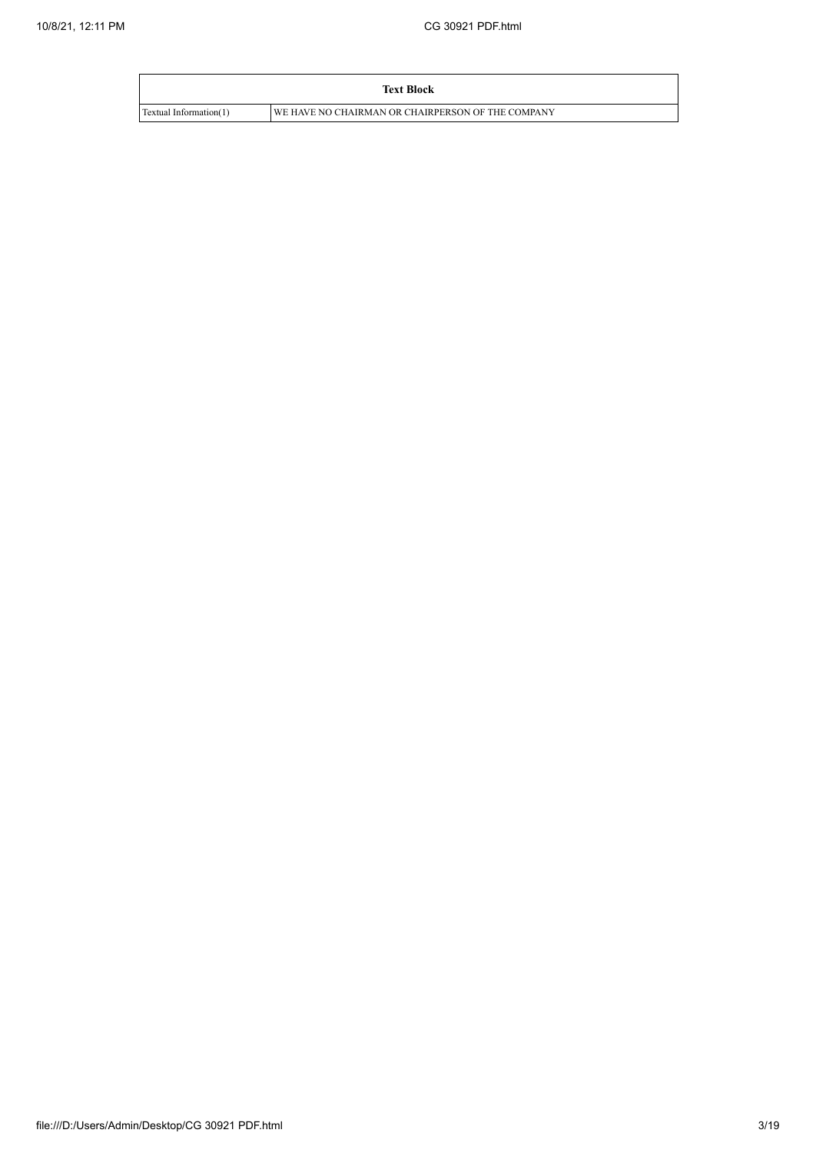|                        | <b>Text Block</b>                                 |
|------------------------|---------------------------------------------------|
| Textual Information(1) | WE HAVE NO CHAIRMAN OR CHAIRPERSON OF THE COMPANY |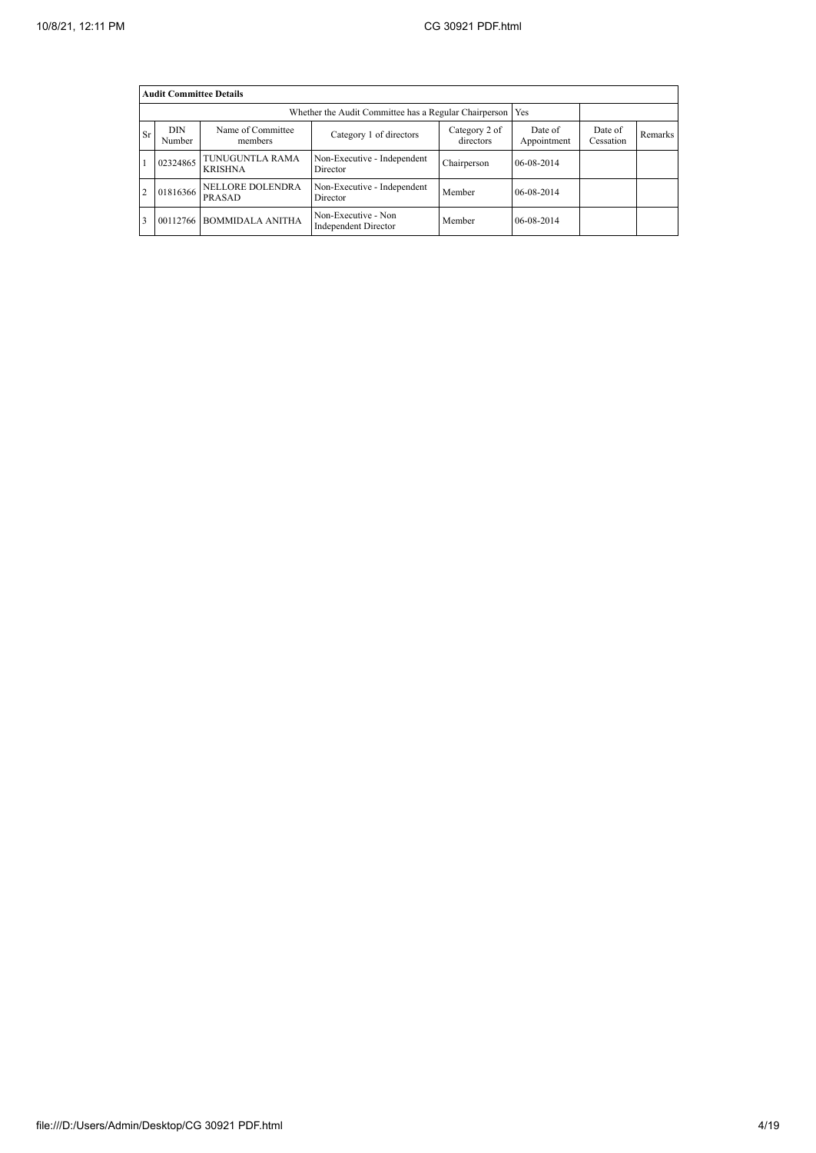|                | <b>Audit Committee Details</b> |                                   |                                                             |                            |                        |                      |         |  |  |  |  |
|----------------|--------------------------------|-----------------------------------|-------------------------------------------------------------|----------------------------|------------------------|----------------------|---------|--|--|--|--|
|                |                                |                                   | Whether the Audit Committee has a Regular Chairperson   Yes |                            |                        |                      |         |  |  |  |  |
| <b>Sr</b>      | <b>DIN</b><br>Number           | Name of Committee<br>members      | Category 1 of directors                                     | Category 2 of<br>directors | Date of<br>Appointment | Date of<br>Cessation | Remarks |  |  |  |  |
|                | 02324865                       | TUNUGUNTLA RAMA<br><b>KRISHNA</b> | Non-Executive - Independent<br>Director                     | Chairperson                | $06-08-2014$           |                      |         |  |  |  |  |
| $\overline{2}$ | 01816366                       | NELLORE DOLENDRA<br>PRASAD        | Non-Executive - Independent<br>Director                     | Member                     | 06-08-2014             |                      |         |  |  |  |  |
| 3              | 00112766                       | <b>BOMMIDALA ANITHA</b>           | Non-Executive - Non<br>Independent Director                 | Member                     | $06 - 08 - 2014$       |                      |         |  |  |  |  |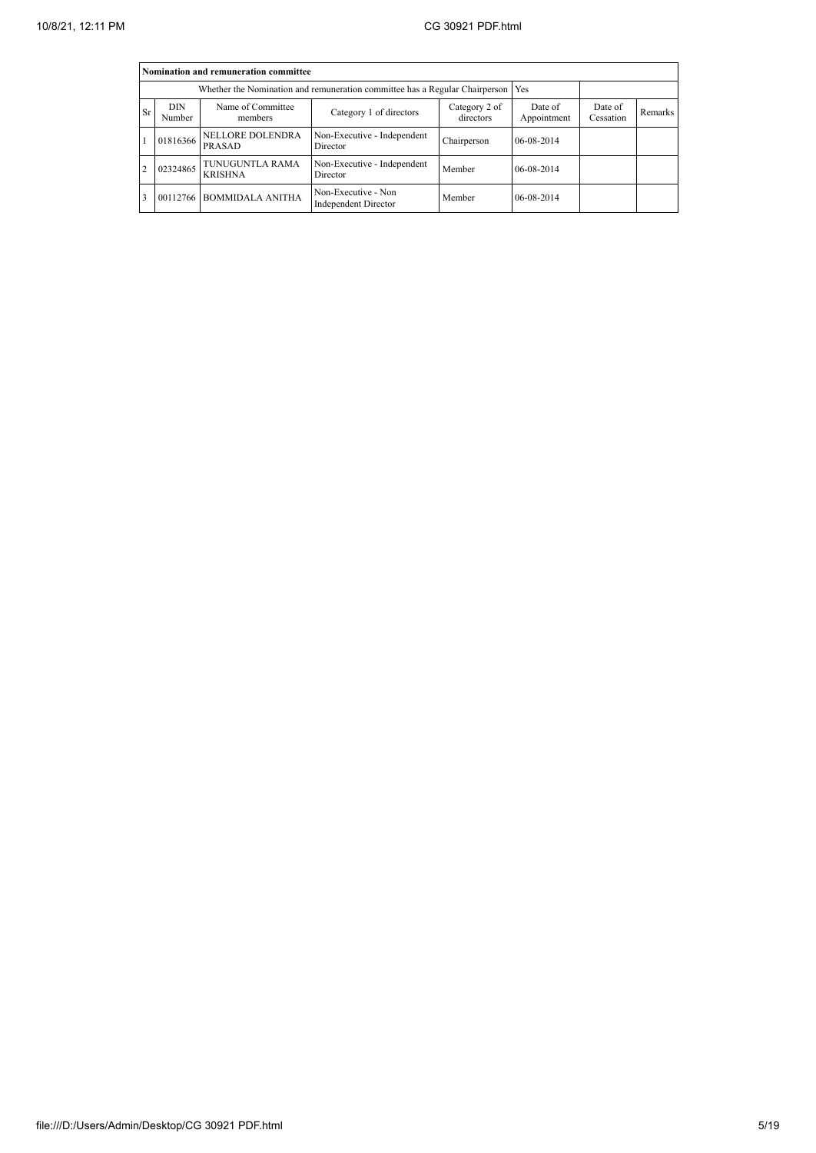|    | Nomination and remuneration committee                                                                         |                                   |                                                                                   |             |                        |                      |         |  |  |  |
|----|---------------------------------------------------------------------------------------------------------------|-----------------------------------|-----------------------------------------------------------------------------------|-------------|------------------------|----------------------|---------|--|--|--|
|    |                                                                                                               |                                   | Whether the Nomination and remuneration committee has a Regular Chairperson   Yes |             |                        |                      |         |  |  |  |
| Sr | Name of Committee<br><b>DIN</b><br>Category 2 of<br>Category 1 of directors<br>directors<br>Number<br>members |                                   |                                                                                   |             | Date of<br>Appointment | Date of<br>Cessation | Remarks |  |  |  |
|    | 01816366                                                                                                      | NELLORE DOLENDRA<br>PRASAD        | Non-Executive - Independent<br>Director                                           | Chairperson | 06-08-2014             |                      |         |  |  |  |
|    | 02324865                                                                                                      | TUNUGUNTLA RAMA<br><b>KRISHNA</b> | Non-Executive - Independent<br>Director                                           | Member      | 06-08-2014             |                      |         |  |  |  |
|    | 00112766                                                                                                      | <b>BOMMIDALA ANITHA</b>           | Non-Executive - Non<br>Independent Director                                       | Member      | 06-08-2014             |                      |         |  |  |  |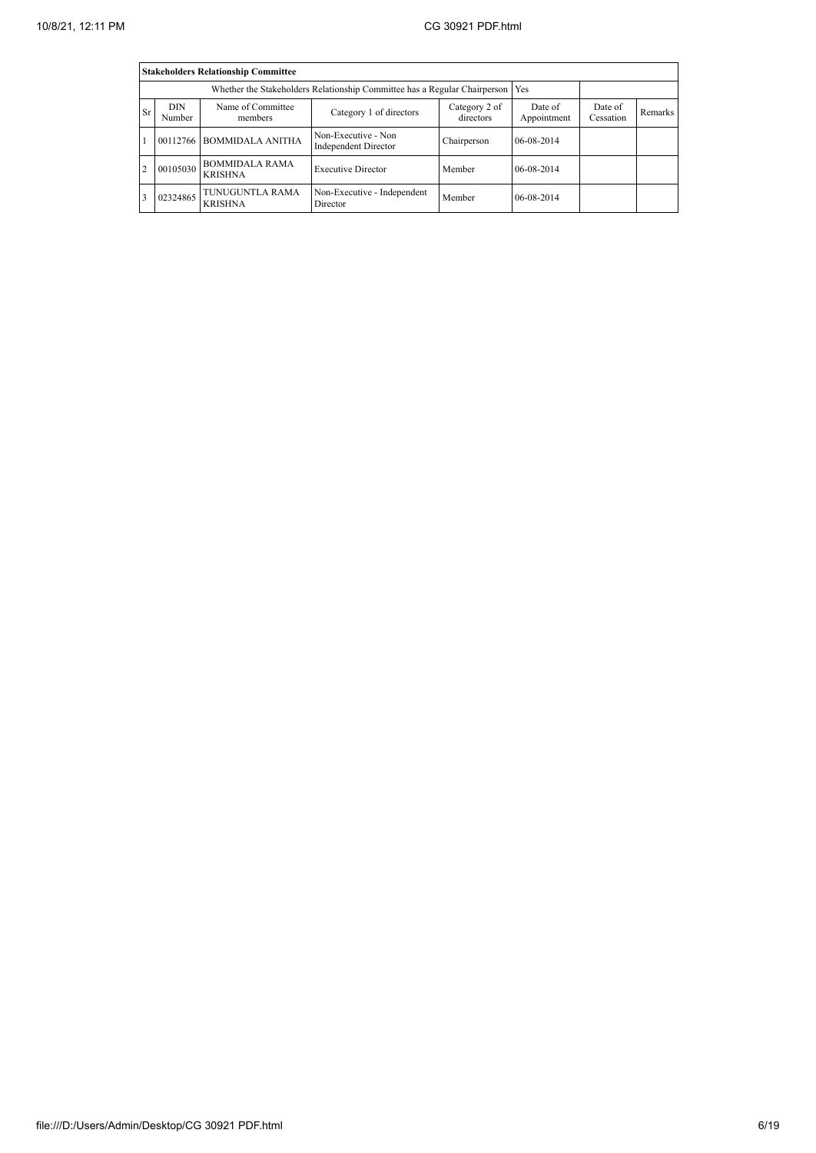|                | <b>Stakeholders Relationship Committee</b> |                                         |                                                                                 |                            |                        |                      |         |  |  |  |
|----------------|--------------------------------------------|-----------------------------------------|---------------------------------------------------------------------------------|----------------------------|------------------------|----------------------|---------|--|--|--|
|                |                                            |                                         | Whether the Stakeholders Relationship Committee has a Regular Chairperson   Yes |                            |                        |                      |         |  |  |  |
| <b>Sr</b>      | <b>DIN</b><br>Number                       | Name of Committee<br>members            | Category 1 of directors                                                         | Category 2 of<br>directors | Date of<br>Appointment | Date of<br>Cessation | Remarks |  |  |  |
|                |                                            | 00112766 BOMMIDALA ANITHA               | Non-Executive - Non<br><b>Independent Director</b>                              | Chairperson                | 06-08-2014             |                      |         |  |  |  |
| $\overline{2}$ | 00105030                                   | <b>BOMMIDALA RAMA</b><br><b>KRISHNA</b> | <b>Executive Director</b>                                                       | Member                     | 06-08-2014             |                      |         |  |  |  |
|                | 02324865                                   | TUNUGUNTLA RAMA<br><b>KRISHNA</b>       | Non-Executive - Independent<br>Director                                         | Member                     | 06-08-2014             |                      |         |  |  |  |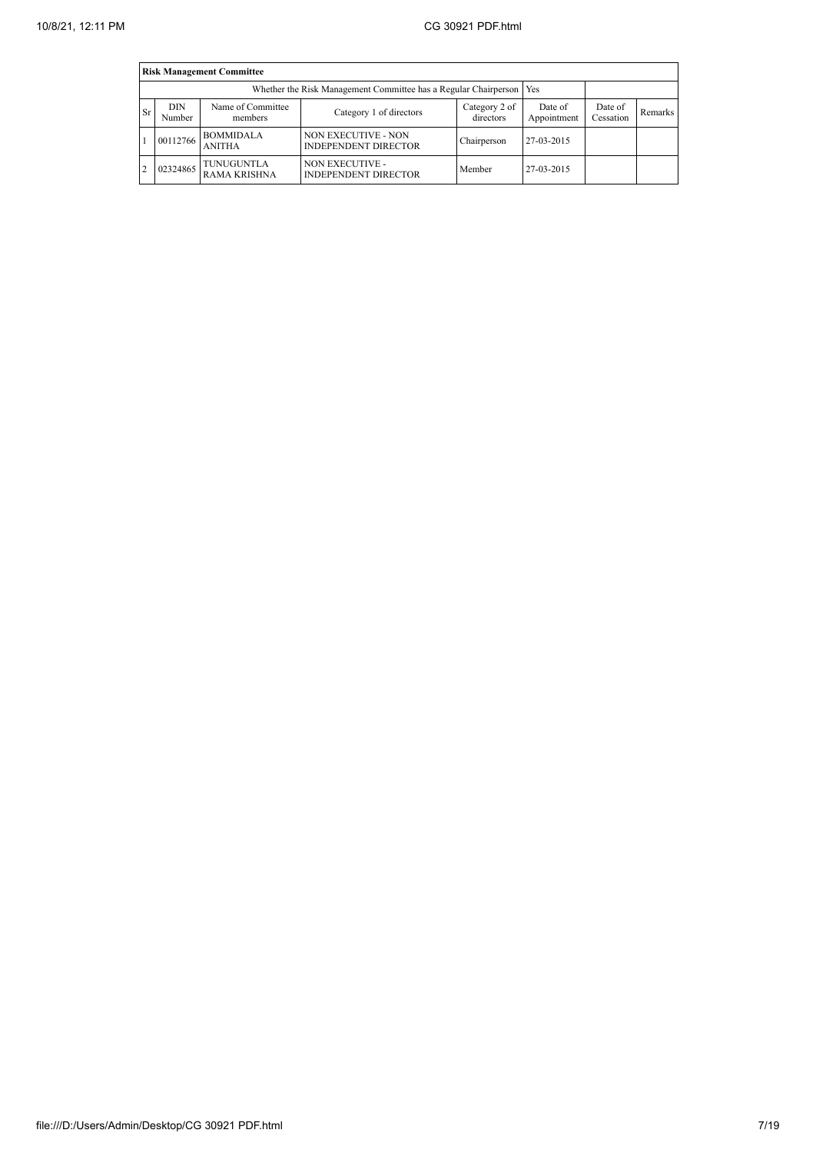|           | <b>Risk Management Committee</b> |                                   |                                                                       |                            |                        |                      |         |  |  |  |
|-----------|----------------------------------|-----------------------------------|-----------------------------------------------------------------------|----------------------------|------------------------|----------------------|---------|--|--|--|
|           |                                  |                                   | Whether the Risk Management Committee has a Regular Chairperson   Yes |                            |                        |                      |         |  |  |  |
| <b>Sr</b> | DIN<br>Number                    | Name of Committee<br>members      | Category 1 of directors                                               | Category 2 of<br>directors | Date of<br>Appointment | Date of<br>Cessation | Remarks |  |  |  |
|           | 00112766                         | <b>BOMMIDALA</b><br><b>ANITHA</b> | <b>NON EXECUTIVE - NON</b><br><b>INDEPENDENT DIRECTOR</b>             | Chairperson                | 27-03-2015             |                      |         |  |  |  |
| 2         | 02324865                         | TUNUGUNTLA<br><b>RAMA KRISHNA</b> | <b>NON EXECUTIVE -</b><br><b>INDEPENDENT DIRECTOR</b>                 | Member                     | 27-03-2015             |                      |         |  |  |  |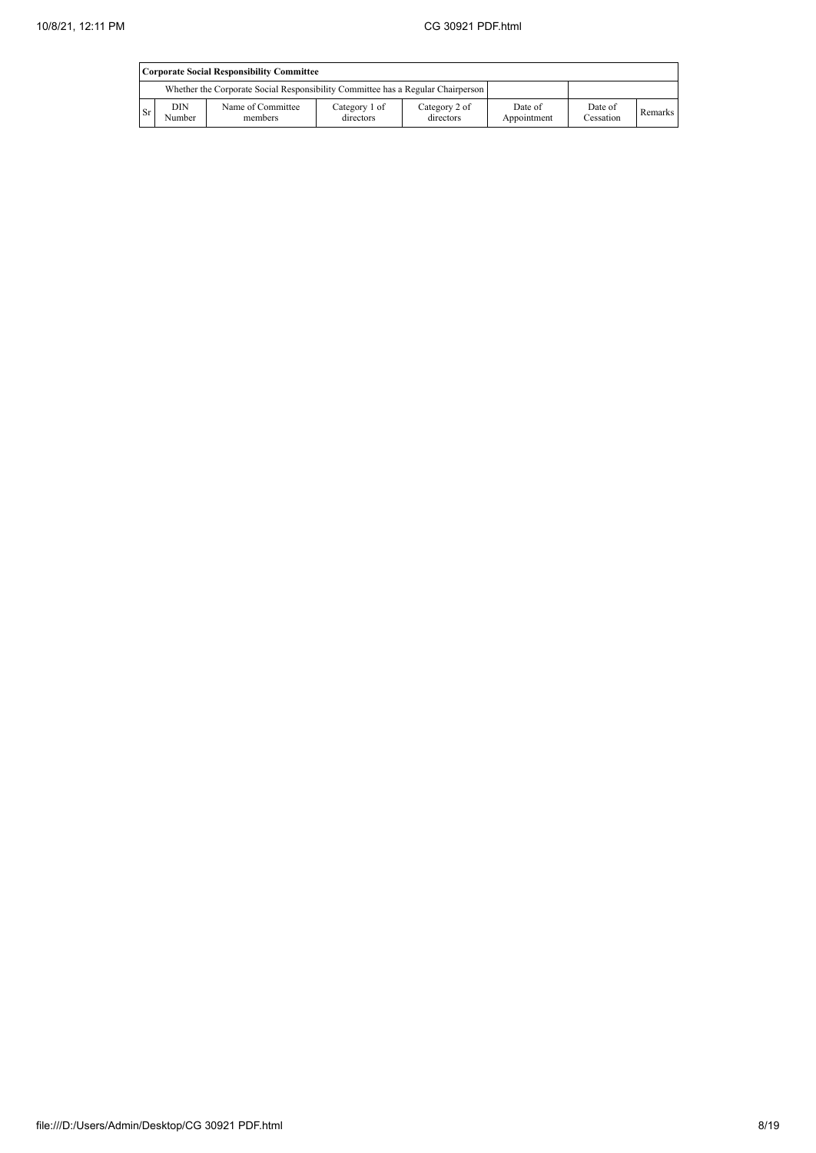|      | Corporate Social Responsibility Committee |                                                                                 |                            |                            |                        |                      |                |  |  |
|------|-------------------------------------------|---------------------------------------------------------------------------------|----------------------------|----------------------------|------------------------|----------------------|----------------|--|--|
|      |                                           | Whether the Corporate Social Responsibility Committee has a Regular Chairperson |                            |                            |                        |                      |                |  |  |
| l Sr | DIN<br>Number                             | Name of Committee<br>members                                                    | Category 1 of<br>directors | Category 2 of<br>directors | Date of<br>Appointment | Date of<br>Cessation | <b>Remarks</b> |  |  |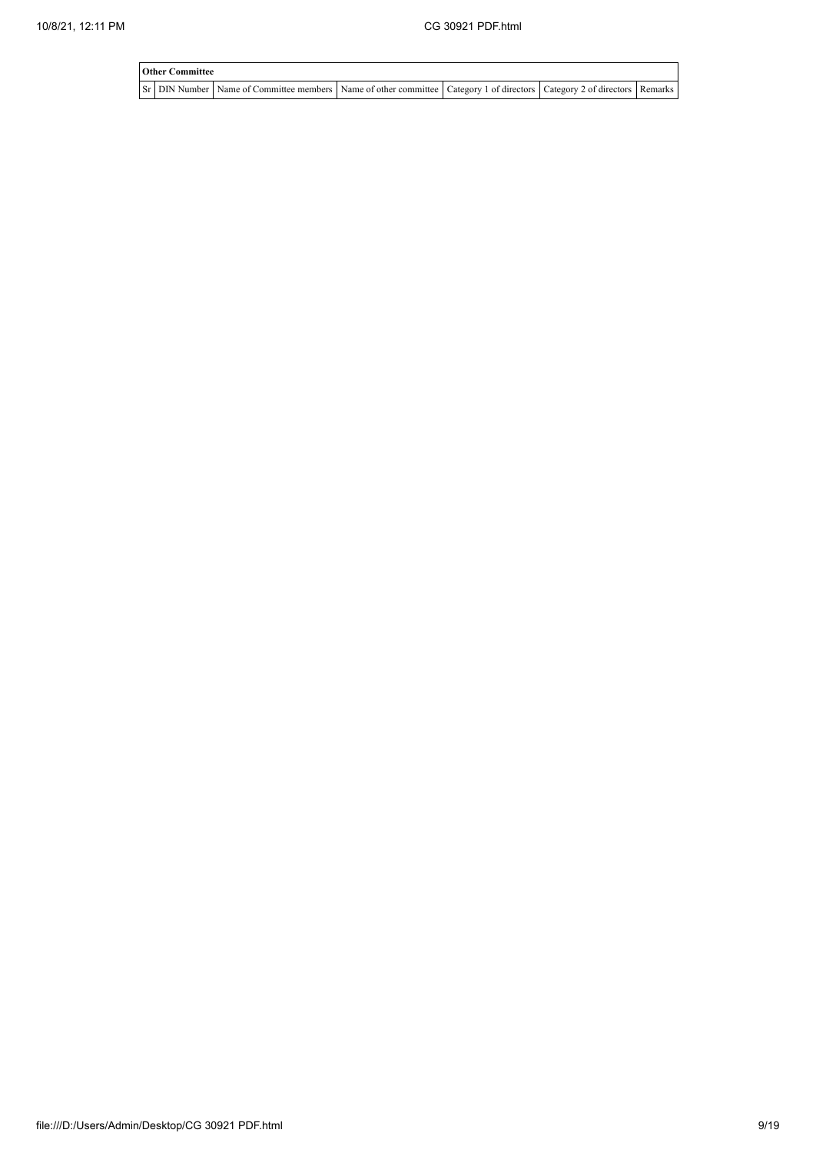| <b>Other Committee</b> |                                                                                                                         |  |  |
|------------------------|-------------------------------------------------------------------------------------------------------------------------|--|--|
|                        | St DIN Number Name of Committee members Name of other committee Category 1 of directors Category 2 of directors Remarks |  |  |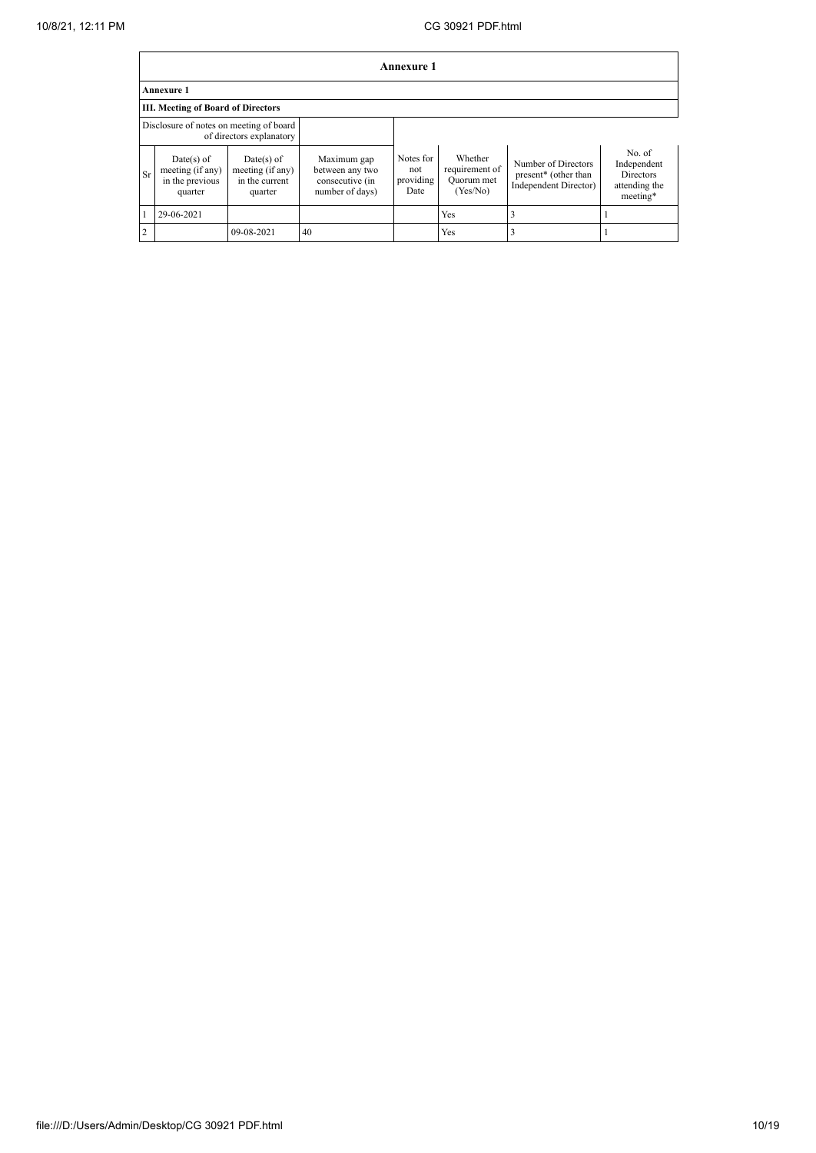|                | Annexure 1                                                     |                                                               |                                                                      |                                       |                                                     |                                                                                  |                                                                        |  |  |
|----------------|----------------------------------------------------------------|---------------------------------------------------------------|----------------------------------------------------------------------|---------------------------------------|-----------------------------------------------------|----------------------------------------------------------------------------------|------------------------------------------------------------------------|--|--|
|                | <b>Annexure 1</b>                                              |                                                               |                                                                      |                                       |                                                     |                                                                                  |                                                                        |  |  |
|                | III. Meeting of Board of Directors                             |                                                               |                                                                      |                                       |                                                     |                                                                                  |                                                                        |  |  |
|                | Disclosure of notes on meeting of board                        | of directors explanatory                                      |                                                                      |                                       |                                                     |                                                                                  |                                                                        |  |  |
| <b>Sr</b>      | $Date(s)$ of<br>meeting (if any)<br>in the previous<br>quarter | $Date(s)$ of<br>meeting (if any)<br>in the current<br>quarter | Maximum gap<br>between any two<br>consecutive (in<br>number of days) | Notes for<br>not<br>providing<br>Date | Whether<br>requirement of<br>Quorum met<br>(Yes/No) | Number of Directors<br>present <sup>*</sup> (other than<br>Independent Director) | No. of<br>Independent<br><b>Directors</b><br>attending the<br>meeting* |  |  |
|                | 29-06-2021                                                     |                                                               |                                                                      |                                       | Yes                                                 |                                                                                  |                                                                        |  |  |
| $\overline{2}$ |                                                                | 09-08-2021                                                    | 40                                                                   |                                       | Yes                                                 |                                                                                  |                                                                        |  |  |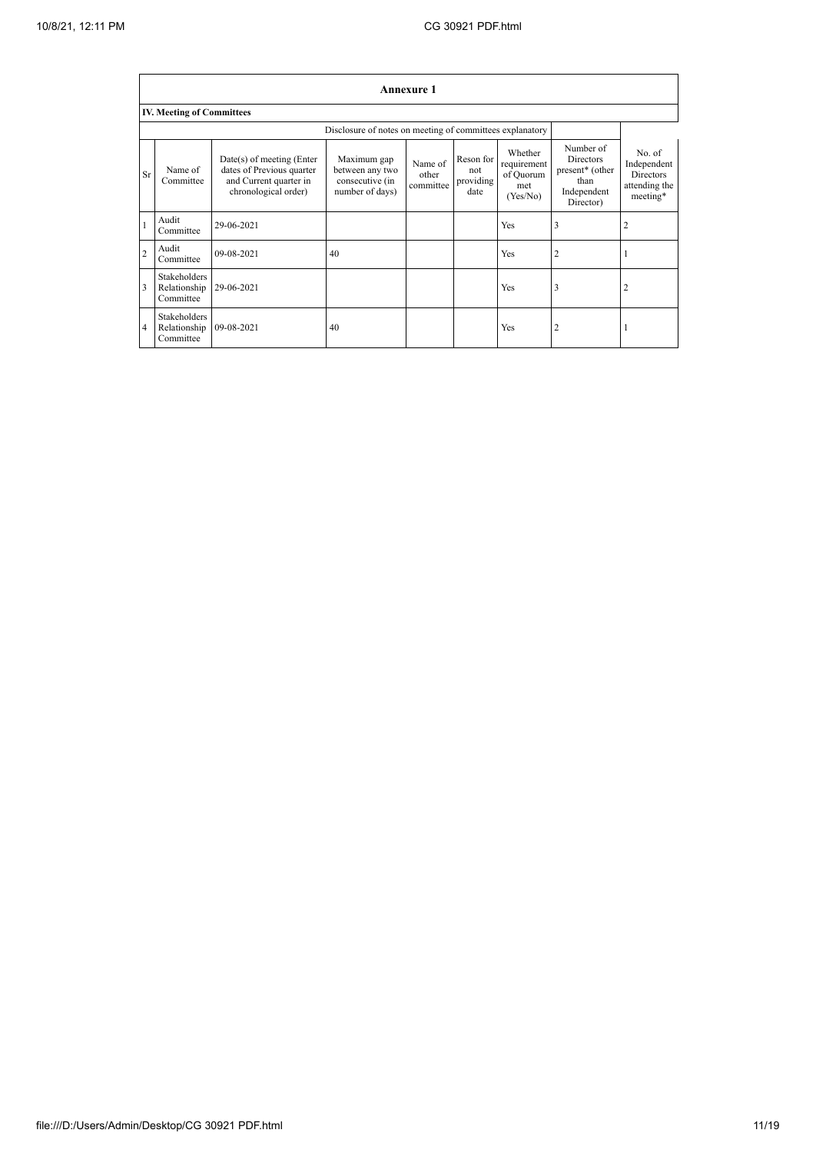|                | <b>Annexure 1</b>                                        |                                                                                                          |                                                                      |                               |                                       |                                                        |                                                                                      |                                                                        |  |  |
|----------------|----------------------------------------------------------|----------------------------------------------------------------------------------------------------------|----------------------------------------------------------------------|-------------------------------|---------------------------------------|--------------------------------------------------------|--------------------------------------------------------------------------------------|------------------------------------------------------------------------|--|--|
|                | <b>IV. Meeting of Committees</b>                         |                                                                                                          |                                                                      |                               |                                       |                                                        |                                                                                      |                                                                        |  |  |
|                | Disclosure of notes on meeting of committees explanatory |                                                                                                          |                                                                      |                               |                                       |                                                        |                                                                                      |                                                                        |  |  |
| Sr             | Name of<br>Committee                                     | Date(s) of meeting (Enter<br>dates of Previous quarter<br>and Current quarter in<br>chronological order) | Maximum gap<br>between any two<br>consecutive (in<br>number of days) | Name of<br>other<br>committee | Reson for<br>not<br>providing<br>date | Whether<br>requirement<br>of Quorum<br>met<br>(Yes/No) | Number of<br><b>Directors</b><br>present* (other<br>than<br>Independent<br>Director) | No. of<br>Independent<br><b>Directors</b><br>attending the<br>meeting* |  |  |
| $\mathbf{1}$   | Audit<br>Committee                                       | 29-06-2021                                                                                               |                                                                      |                               |                                       | Yes                                                    | 3                                                                                    | 2                                                                      |  |  |
| $\overline{c}$ | Audit<br>Committee                                       | 09-08-2021                                                                                               | 40                                                                   |                               |                                       | Yes                                                    | 2                                                                                    |                                                                        |  |  |
| 3              | Stakeholders<br>Relationship<br>Committee                | 29-06-2021                                                                                               |                                                                      |                               |                                       | Yes                                                    | 3                                                                                    | 2                                                                      |  |  |
| 4              | <b>Stakeholders</b><br>Relationship<br>Committee         | 09-08-2021                                                                                               | 40                                                                   |                               |                                       | Yes                                                    | 2                                                                                    |                                                                        |  |  |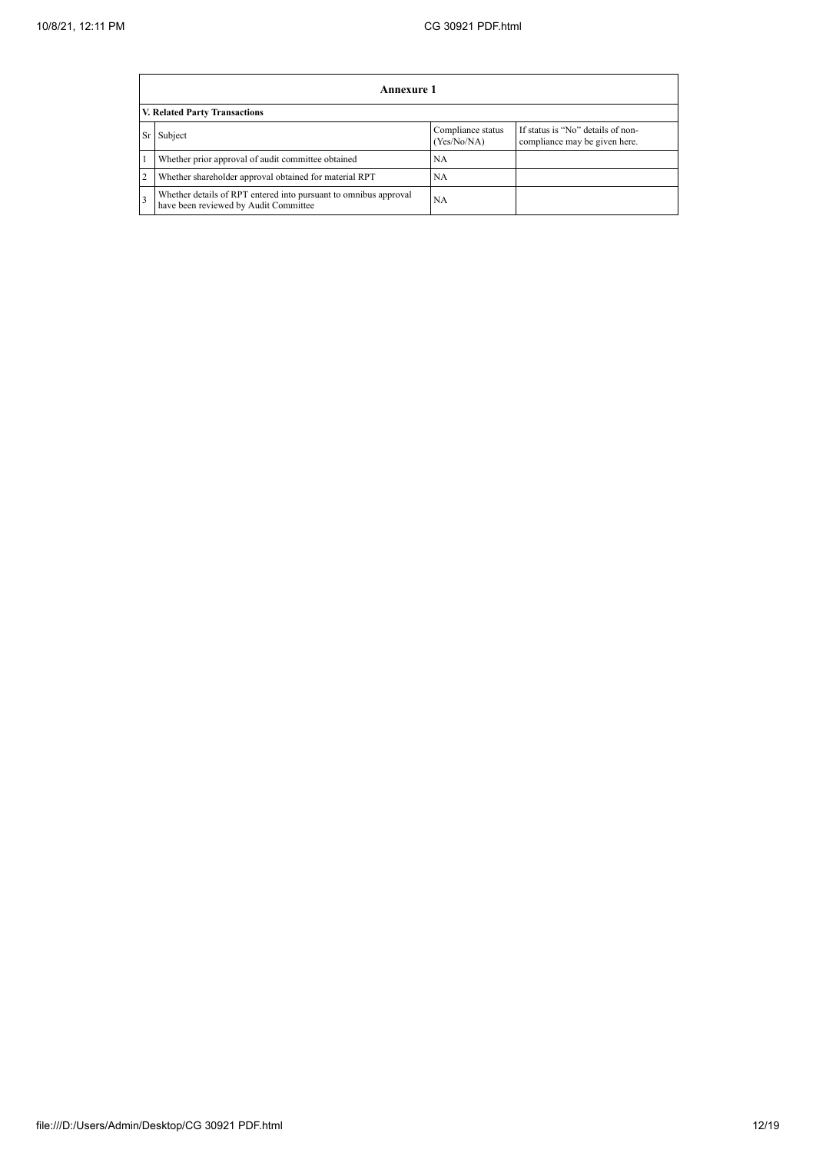|    | Annexure 1                                                                                                |                                  |                                                                    |  |  |  |  |  |
|----|-----------------------------------------------------------------------------------------------------------|----------------------------------|--------------------------------------------------------------------|--|--|--|--|--|
|    | V. Related Party Transactions                                                                             |                                  |                                                                    |  |  |  |  |  |
| Sr | Subject                                                                                                   | Compliance status<br>(Yes/No/NA) | If status is "No" details of non-<br>compliance may be given here. |  |  |  |  |  |
|    | Whether prior approval of audit committee obtained                                                        | NA                               |                                                                    |  |  |  |  |  |
|    | Whether shareholder approval obtained for material RPT                                                    | <b>NA</b>                        |                                                                    |  |  |  |  |  |
|    | Whether details of RPT entered into pursuant to omnibus approval<br>have been reviewed by Audit Committee | NA                               |                                                                    |  |  |  |  |  |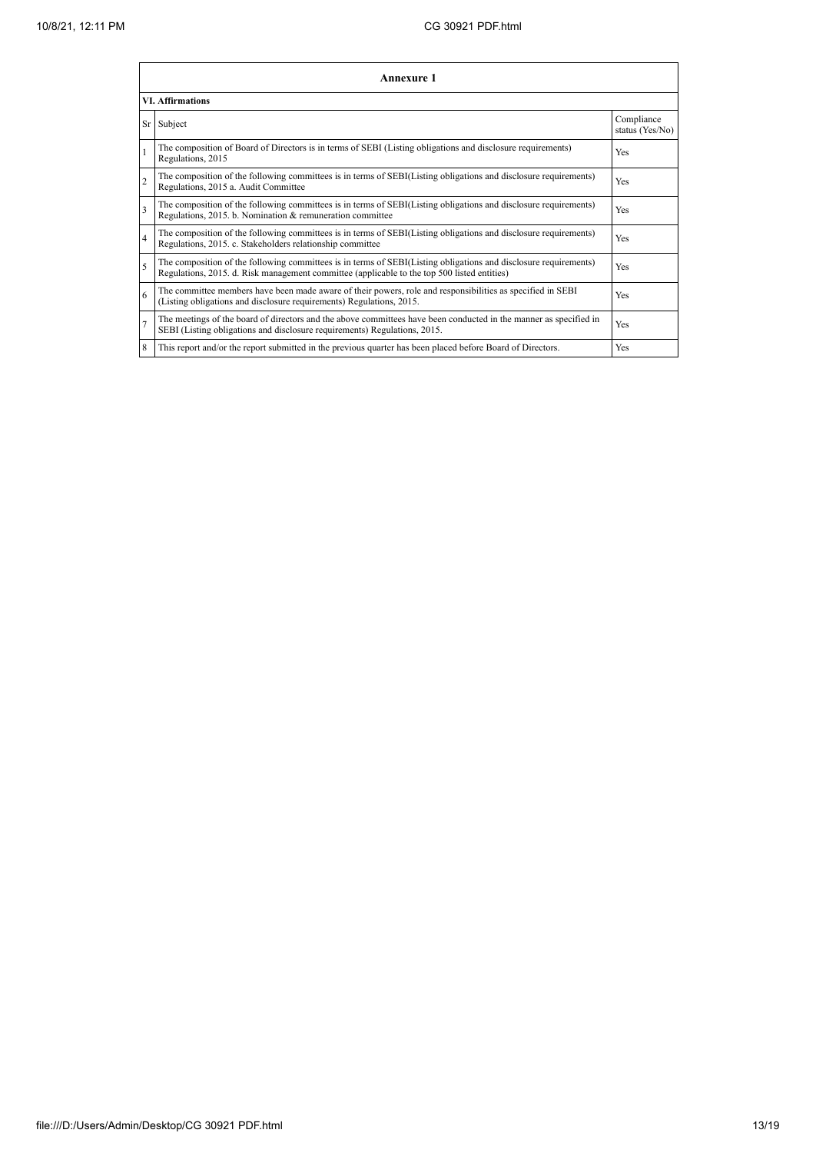|                | <b>Annexure 1</b>                                                                                                                                                                                               |                               |  |  |  |
|----------------|-----------------------------------------------------------------------------------------------------------------------------------------------------------------------------------------------------------------|-------------------------------|--|--|--|
|                | <b>VI.</b> Affirmations                                                                                                                                                                                         |                               |  |  |  |
|                | Sr Subject                                                                                                                                                                                                      | Compliance<br>status (Yes/No) |  |  |  |
| $\mathbf{1}$   | The composition of Board of Directors is in terms of SEBI (Listing obligations and disclosure requirements)<br>Regulations, 2015                                                                                | Yes                           |  |  |  |
| $\overline{c}$ | The composition of the following committees is in terms of SEBI(Listing obligations and disclosure requirements)<br>Regulations, 2015 a. Audit Committee                                                        | Yes                           |  |  |  |
| $\overline{3}$ | The composition of the following committees is in terms of SEBI(Listing obligations and disclosure requirements)<br>Regulations, 2015. b. Nomination & remuneration committee                                   | Yes                           |  |  |  |
| $\overline{4}$ | The composition of the following committees is in terms of SEBI(Listing obligations and disclosure requirements)<br>Regulations, 2015. c. Stakeholders relationship committee                                   | Yes                           |  |  |  |
| 5              | The composition of the following committees is in terms of SEBI(Listing obligations and disclosure requirements)<br>Regulations, 2015. d. Risk management committee (applicable to the top 500 listed entities) | Yes                           |  |  |  |
| 6              | The committee members have been made aware of their powers, role and responsibilities as specified in SEBI<br>(Listing obligations and disclosure requirements) Regulations, 2015.                              | Yes                           |  |  |  |
| $\overline{7}$ | The meetings of the board of directors and the above committees have been conducted in the manner as specified in<br>SEBI (Listing obligations and disclosure requirements) Regulations, 2015.                  | Yes                           |  |  |  |
| 8              | This report and/or the report submitted in the previous quarter has been placed before Board of Directors.                                                                                                      | Yes                           |  |  |  |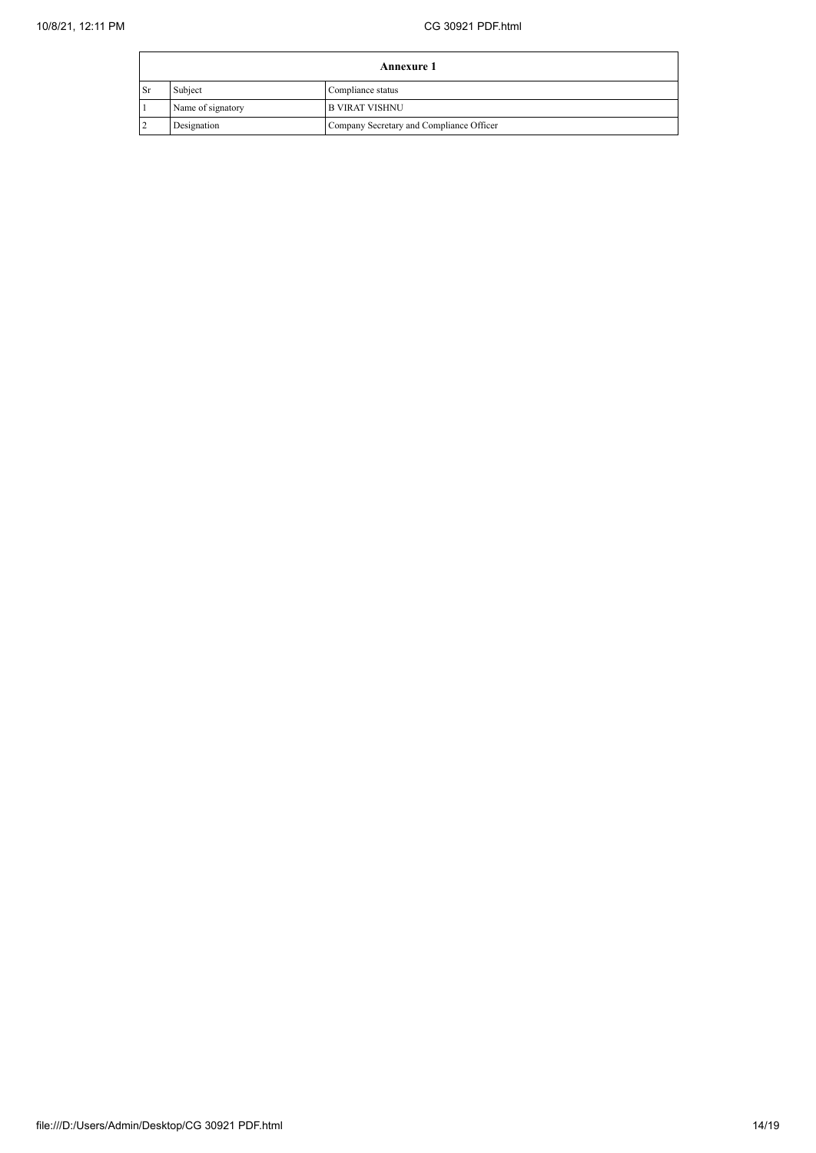|    | <b>Annexure 1</b> |                                          |  |
|----|-------------------|------------------------------------------|--|
| Sr | Subject           | Compliance status                        |  |
|    | Name of signatory | <b>B VIRAT VISHNU</b>                    |  |
|    | Designation       | Company Secretary and Compliance Officer |  |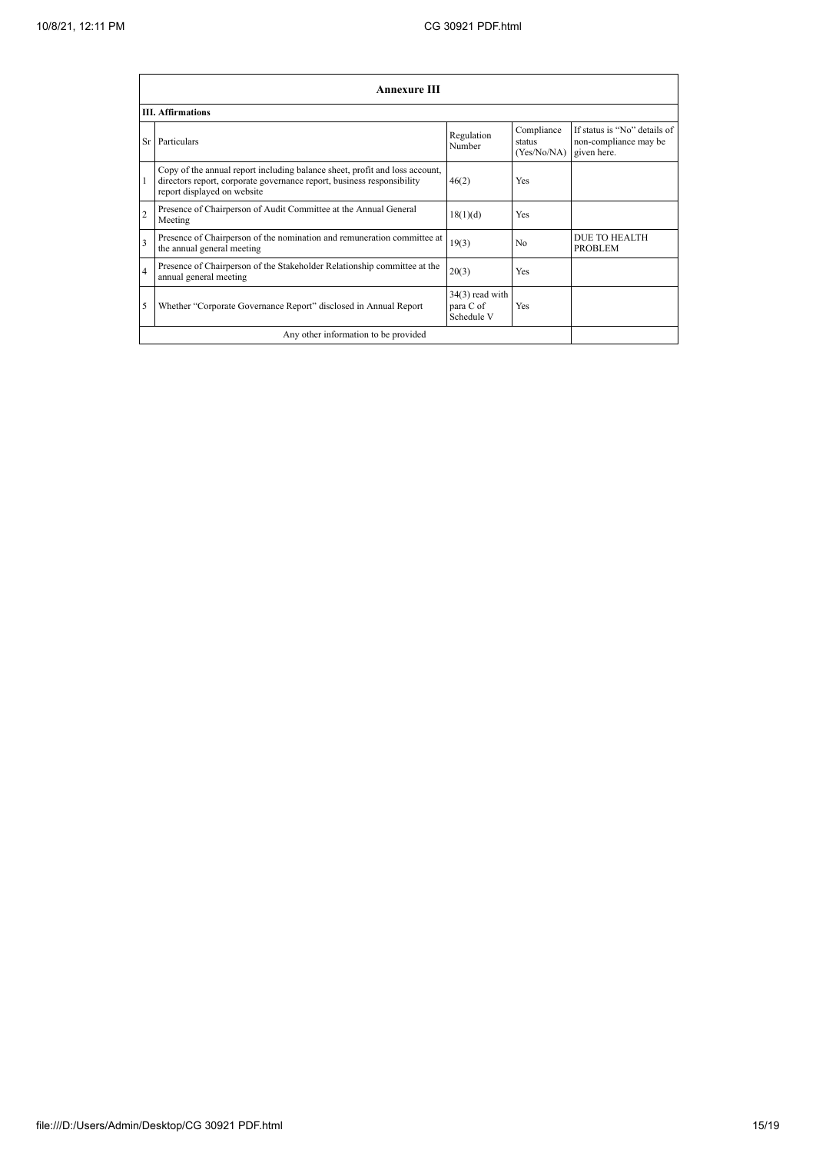|                         | <b>Annexure III</b>                                                                                                                                                                  |                                              |                                     |                                                                      |  |  |
|-------------------------|--------------------------------------------------------------------------------------------------------------------------------------------------------------------------------------|----------------------------------------------|-------------------------------------|----------------------------------------------------------------------|--|--|
|                         | <b>III.</b> Affirmations                                                                                                                                                             |                                              |                                     |                                                                      |  |  |
|                         | Sr Particulars                                                                                                                                                                       | Regulation<br>Number                         | Compliance<br>status<br>(Yes/No/NA) | If status is "No" details of<br>non-compliance may be<br>given here. |  |  |
|                         | Copy of the annual report including balance sheet, profit and loss account,<br>directors report, corporate governance report, business responsibility<br>report displayed on website | 46(2)                                        | Yes                                 |                                                                      |  |  |
| $\overline{c}$          | Presence of Chairperson of Audit Committee at the Annual General<br>Meeting                                                                                                          | 18(1)(d)                                     | Yes                                 |                                                                      |  |  |
| $\overline{\mathbf{3}}$ | Presence of Chairperson of the nomination and remuneration committee at<br>the annual general meeting                                                                                | 19(3)                                        | N <sub>0</sub>                      | DUE TO HEALTH<br><b>PROBLEM</b>                                      |  |  |
| $\overline{4}$          | Presence of Chairperson of the Stakeholder Relationship committee at the<br>annual general meeting                                                                                   | 20(3)                                        | Yes                                 |                                                                      |  |  |
| 5                       | Whether "Corporate Governance Report" disclosed in Annual Report                                                                                                                     | $34(3)$ read with<br>para C of<br>Schedule V | Yes                                 |                                                                      |  |  |
|                         | Any other information to be provided                                                                                                                                                 |                                              |                                     |                                                                      |  |  |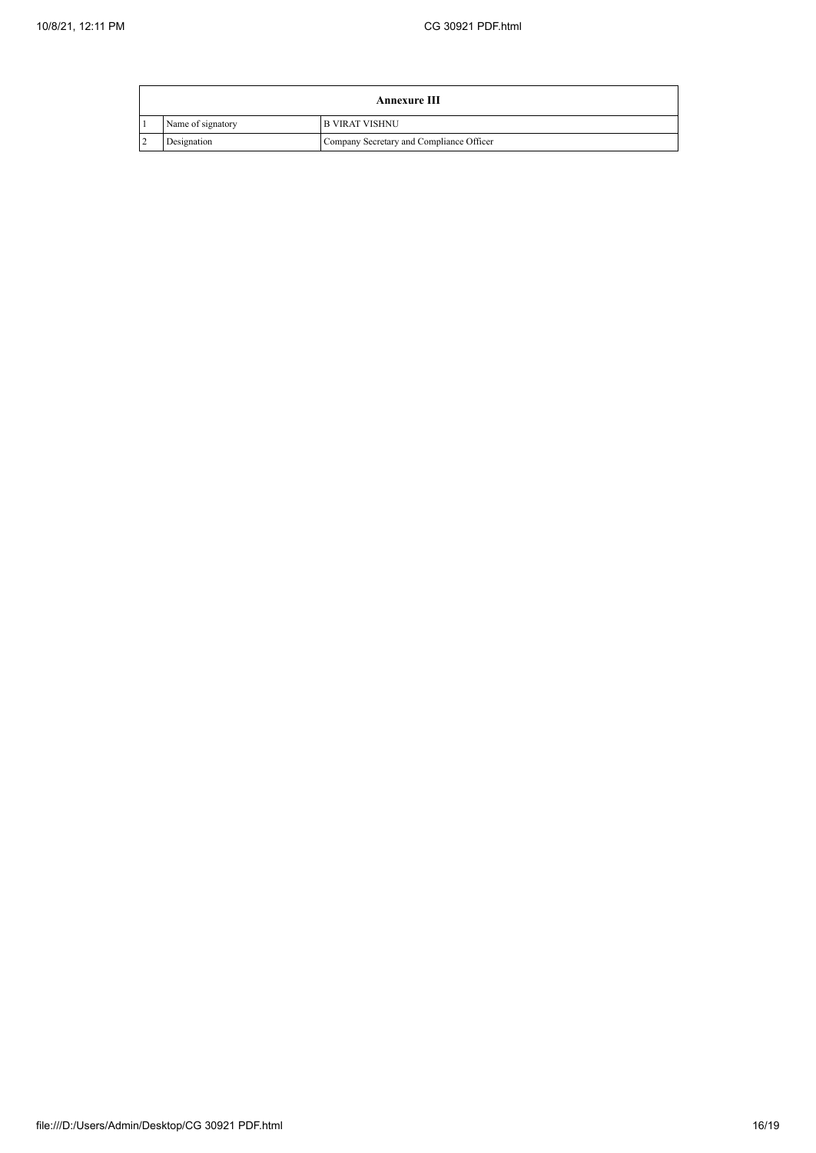$\mathbf{r}$ 

| <b>Annexure III</b> |                                          |  |
|---------------------|------------------------------------------|--|
| Name of signatory   | <b>B VIRAT VISHNU</b>                    |  |
| Designation         | Company Secretary and Compliance Officer |  |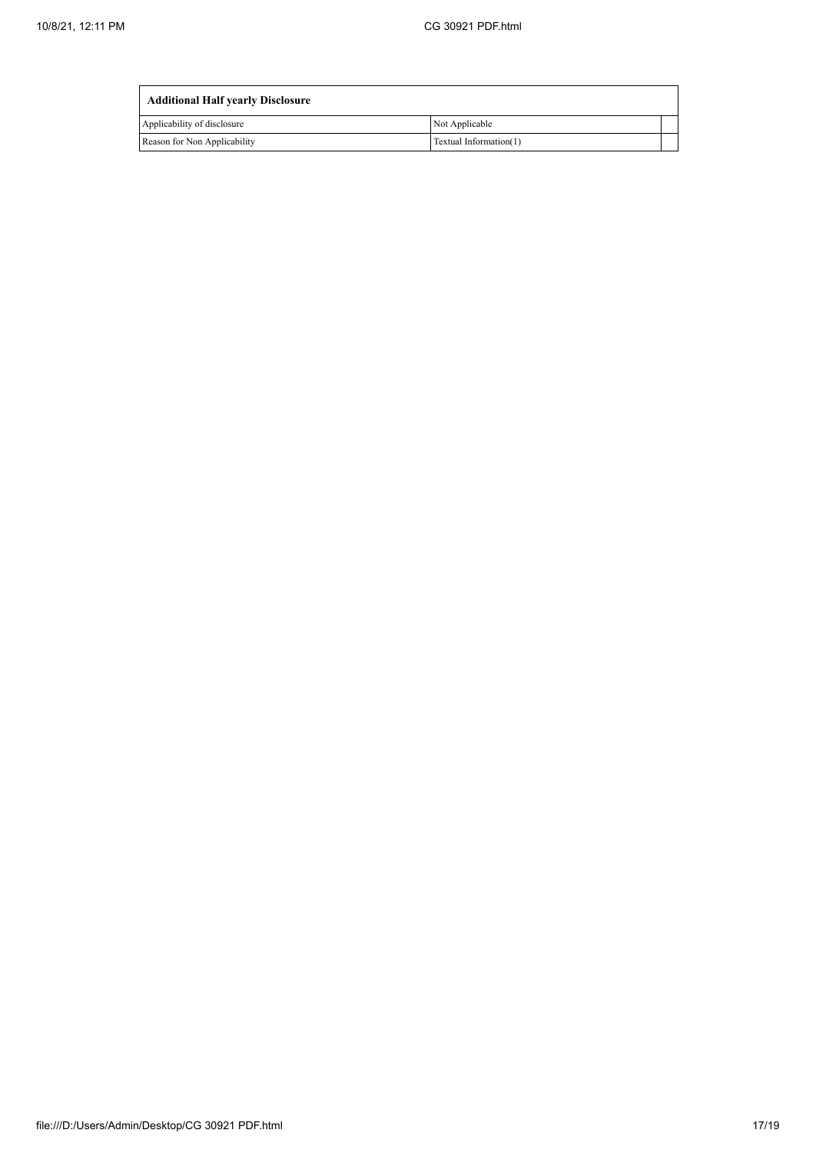| <b>Additional Half yearly Disclosure</b> |                        |  |
|------------------------------------------|------------------------|--|
| Applicability of disclosure              | Not Applicable         |  |
| Reason for Non Applicability             | Textual Information(1) |  |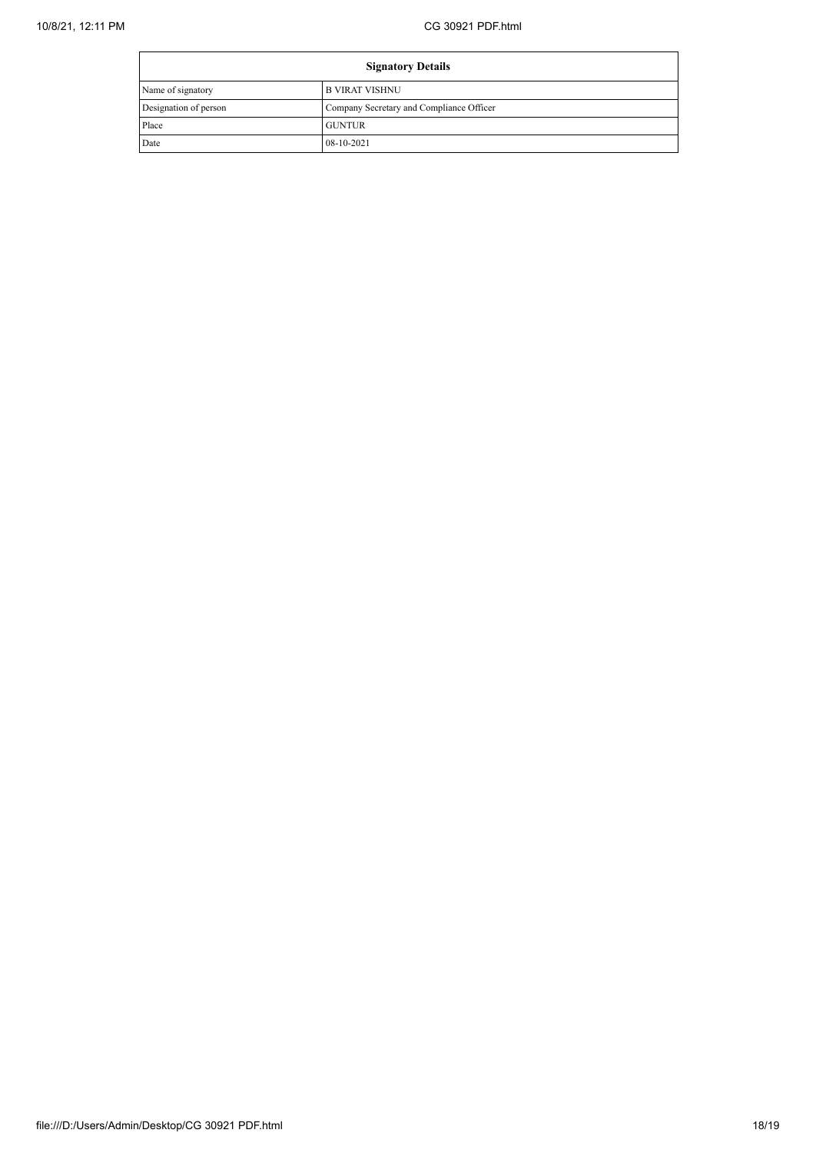| <b>Signatory Details</b> |                                          |  |
|--------------------------|------------------------------------------|--|
| Name of signatory        | I B VIRAT VISHNU                         |  |
| Designation of person    | Company Secretary and Compliance Officer |  |
| Place                    | <b>GUNTUR</b>                            |  |
| Date                     | 08-10-2021                               |  |